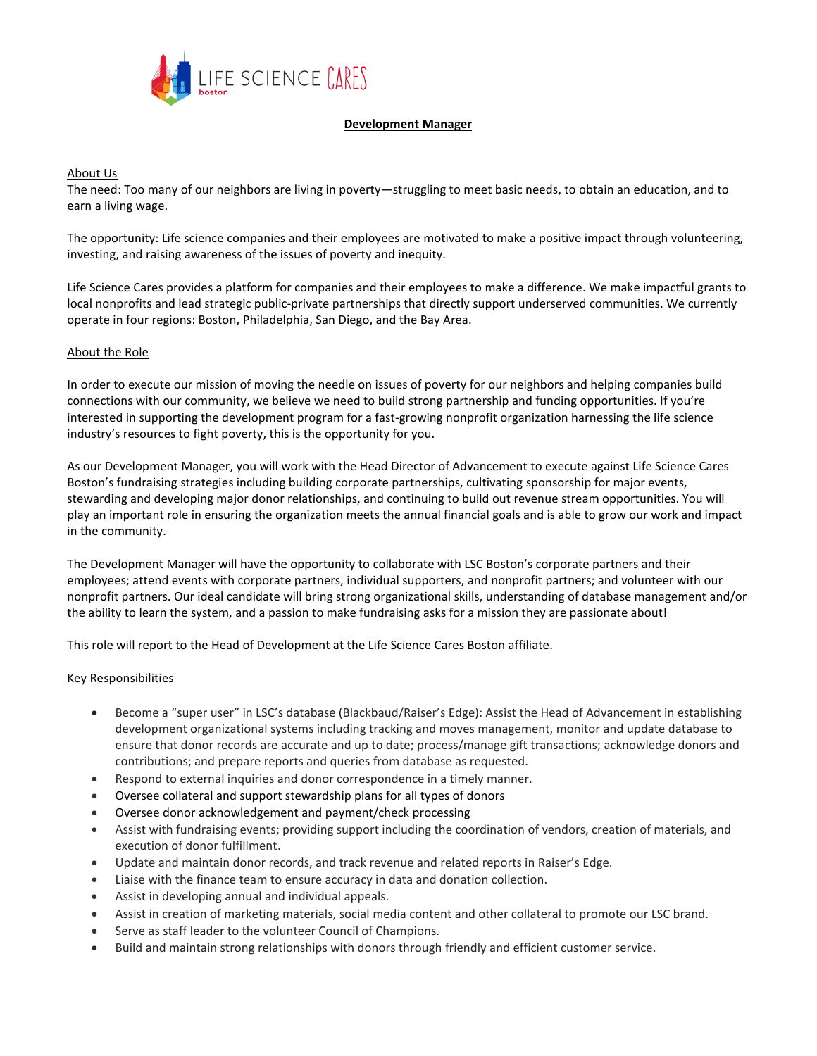

# **Development Manager**

#### About Us

The need: Too many of our neighbors are living in poverty—struggling to meet basic needs, to obtain an education, and to earn a living wage.

The opportunity: Life science companies and their employees are motivated to make a positive impact through volunteering, investing, and raising awareness of the issues of poverty and inequity.

Life Science Cares provides a platform for companies and their employees to make a difference. We make impactful grants to local nonprofits and lead strategic public-private partnerships that directly support underserved communities. We currently operate in four regions: Boston, Philadelphia, San Diego, and the Bay Area.

### About the Role

In order to execute our mission of moving the needle on issues of poverty for our neighbors and helping companies build connections with our community, we believe we need to build strong partnership and funding opportunities. If you're interested in supporting the development program for a fast-growing nonprofit organization harnessing the life science industry's resources to fight poverty, this is the opportunity for you.

As our Development Manager, you will work with the Head Director of Advancement to execute against Life Science Cares Boston's fundraising strategies including building corporate partnerships, cultivating sponsorship for major events, stewarding and developing major donor relationships, and continuing to build out revenue stream opportunities. You will play an important role in ensuring the organization meets the annual financial goals and is able to grow our work and impact in the community.

The Development Manager will have the opportunity to collaborate with LSC Boston's corporate partners and their employees; attend events with corporate partners, individual supporters, and nonprofit partners; and volunteer with our nonprofit partners. Our ideal candidate will bring strong organizational skills, understanding of database management and/or the ability to learn the system, and a passion to make fundraising asks for a mission they are passionate about!

This role will report to the Head of Development at the Life Science Cares Boston affiliate.

### Key Responsibilities

- Become a "super user" in LSC's database (Blackbaud/Raiser's Edge): Assist the Head of Advancement in establishing development organizational systems including tracking and moves management, monitor and update database to ensure that donor records are accurate and up to date; process/manage gift transactions; acknowledge donors and contributions; and prepare reports and queries from database as requested.
- Respond to external inquiries and donor correspondence in a timely manner.
- Oversee collateral and support stewardship plans for all types of donors
- Oversee donor acknowledgement and payment/check processing
- Assist with fundraising events; providing support including the coordination of vendors, creation of materials, and execution of donor fulfillment.
- Update and maintain donor records, and track revenue and related reports in Raiser's Edge.
- Liaise with the finance team to ensure accuracy in data and donation collection.
- Assist in developing annual and individual appeals.
- Assist in creation of marketing materials, social media content and other collateral to promote our LSC brand.
- Serve as staff leader to the volunteer Council of Champions.
- Build and maintain strong relationships with donors through friendly and efficient customer service.